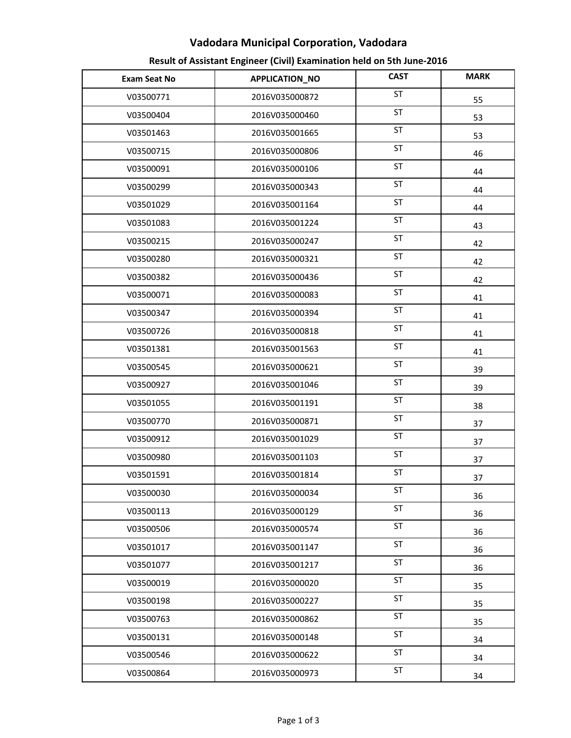## Vadodara Municipal Corporation, Vadodara

| Result of Assistant Engineer (Civil) Examination held on 5th June-2016 |  |  |
|------------------------------------------------------------------------|--|--|
|------------------------------------------------------------------------|--|--|

| <b>Exam Seat No</b> | APPLICATION_NO | <b>CAST</b> | <b>MARK</b> |
|---------------------|----------------|-------------|-------------|
| V03500771           | 2016V035000872 | <b>ST</b>   | 55          |
| V03500404           | 2016V035000460 | ST          | 53          |
| V03501463           | 2016V035001665 | ST          | 53          |
| V03500715           | 2016V035000806 | <b>ST</b>   | 46          |
| V03500091           | 2016V035000106 | <b>ST</b>   | 44          |
| V03500299           | 2016V035000343 | <b>ST</b>   | 44          |
| V03501029           | 2016V035001164 | <b>ST</b>   | 44          |
| V03501083           | 2016V035001224 | ST          | 43          |
| V03500215           | 2016V035000247 | ST          | 42          |
| V03500280           | 2016V035000321 | ST          | 42          |
| V03500382           | 2016V035000436 | ST          | 42          |
| V03500071           | 2016V035000083 | <b>ST</b>   | 41          |
| V03500347           | 2016V035000394 | ST          | 41          |
| V03500726           | 2016V035000818 | <b>ST</b>   | 41          |
| V03501381           | 2016V035001563 | <b>ST</b>   | 41          |
| V03500545           | 2016V035000621 | ST          | 39          |
| V03500927           | 2016V035001046 | ST          | 39          |
| V03501055           | 2016V035001191 | ST          | 38          |
| V03500770           | 2016V035000871 | ST          | 37          |
| V03500912           | 2016V035001029 | ST          | 37          |
| V03500980           | 2016V035001103 | ST          | 37          |
| V03501591           | 2016V035001814 | ST          | 37          |
| V03500030           | 2016V035000034 | ST          | 36          |
| V03500113           | 2016V035000129 | ST          | 36          |
| V03500506           | 2016V035000574 | <b>ST</b>   | 36          |
| V03501017           | 2016V035001147 | <b>ST</b>   | 36          |
| V03501077           | 2016V035001217 | <b>ST</b>   | 36          |
| V03500019           | 2016V035000020 | <b>ST</b>   | 35          |
| V03500198           | 2016V035000227 | <b>ST</b>   | 35          |
| V03500763           | 2016V035000862 | <b>ST</b>   | 35          |
| V03500131           | 2016V035000148 | <b>ST</b>   | 34          |
| V03500546           | 2016V035000622 | <b>ST</b>   | 34          |
| V03500864           | 2016V035000973 | ST          | 34          |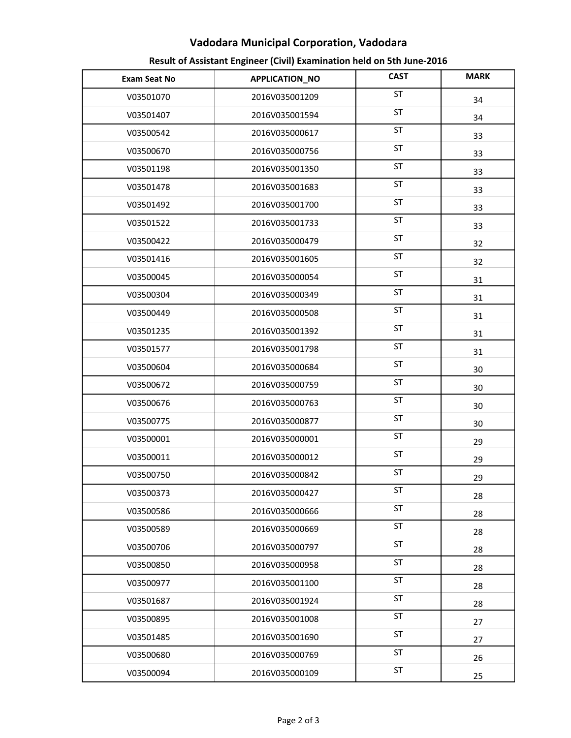## Vadodara Municipal Corporation, Vadodara

| Result of Assistant Engineer (Civil) Examination held on 5th June-2016 |  |  |
|------------------------------------------------------------------------|--|--|
|------------------------------------------------------------------------|--|--|

| <b>Exam Seat No</b> | APPLICATION_NO | <b>CAST</b> | <b>MARK</b> |
|---------------------|----------------|-------------|-------------|
| V03501070           | 2016V035001209 | <b>ST</b>   | 34          |
| V03501407           | 2016V035001594 | ST          | 34          |
| V03500542           | 2016V035000617 | ST          | 33          |
| V03500670           | 2016V035000756 | <b>ST</b>   | 33          |
| V03501198           | 2016V035001350 | <b>ST</b>   | 33          |
| V03501478           | 2016V035001683 | <b>ST</b>   | 33          |
| V03501492           | 2016V035001700 | <b>ST</b>   | 33          |
| V03501522           | 2016V035001733 | ST          | 33          |
| V03500422           | 2016V035000479 | <b>ST</b>   | 32          |
| V03501416           | 2016V035001605 | ST          | 32          |
| V03500045           | 2016V035000054 | ST          | 31          |
| V03500304           | 2016V035000349 | <b>ST</b>   | 31          |
| V03500449           | 2016V035000508 | ST          | 31          |
| V03501235           | 2016V035001392 | <b>ST</b>   | 31          |
| V03501577           | 2016V035001798 | ST          | 31          |
| V03500604           | 2016V035000684 | ST          | 30          |
| V03500672           | 2016V035000759 | ST          | 30          |
| V03500676           | 2016V035000763 | ST          | 30          |
| V03500775           | 2016V035000877 | ST          | 30          |
| V03500001           | 2016V035000001 | ST          | 29          |
| V03500011           | 2016V035000012 | ST          | 29          |
| V03500750           | 2016V035000842 | ST          | 29          |
| V03500373           | 2016V035000427 | <b>ST</b>   | 28          |
| V03500586           | 2016V035000666 | ST          | 28          |
| V03500589           | 2016V035000669 | <b>ST</b>   | 28          |
| V03500706           | 2016V035000797 | <b>ST</b>   | 28          |
| V03500850           | 2016V035000958 | <b>ST</b>   | 28          |
| V03500977           | 2016V035001100 | <b>ST</b>   | 28          |
| V03501687           | 2016V035001924 | <b>ST</b>   | 28          |
| V03500895           | 2016V035001008 | ST          | 27          |
| V03501485           | 2016V035001690 | <b>ST</b>   | 27          |
| V03500680           | 2016V035000769 | <b>ST</b>   | 26          |
| V03500094           | 2016V035000109 | ST          | 25          |